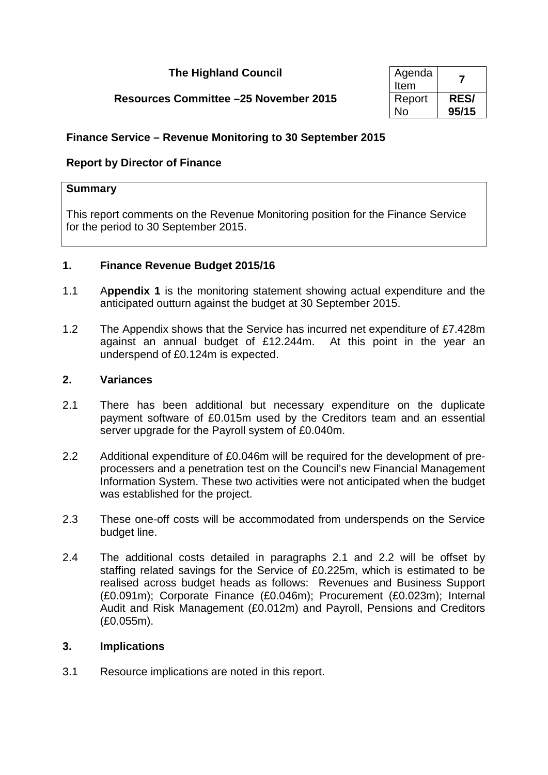## **The Highland Council**

# **Resources Committee –25 November 2015**

| Agenda<br>Item |             |
|----------------|-------------|
| Report         | <b>RES/</b> |
| N٥             | 95/15       |

## **Finance Service – Revenue Monitoring to 30 September 2015**

## **Report by Director of Finance**

#### **Summary**

This report comments on the Revenue Monitoring position for the Finance Service for the period to 30 September 2015.

### **1. Finance Revenue Budget 2015/16**

- 1.1 A**ppendix 1** is the monitoring statement showing actual expenditure and the anticipated outturn against the budget at 30 September 2015.
- 1.2 The Appendix shows that the Service has incurred net expenditure of £7.428m against an annual budget of £12.244m. At this point in the year an underspend of £0.124m is expected.

#### **2. Variances**

- 2.1 There has been additional but necessary expenditure on the duplicate payment software of £0.015m used by the Creditors team and an essential server upgrade for the Payroll system of £0.040m.
- 2.2 Additional expenditure of £0.046m will be required for the development of preprocessers and a penetration test on the Council's new Financial Management Information System. These two activities were not anticipated when the budget was established for the project.
- 2.3 These one-off costs will be accommodated from underspends on the Service budget line.
- 2.4 The additional costs detailed in paragraphs 2.1 and 2.2 will be offset by staffing related savings for the Service of £0.225m, which is estimated to be realised across budget heads as follows: Revenues and Business Support (£0.091m); Corporate Finance (£0.046m); Procurement (£0.023m); Internal Audit and Risk Management (£0.012m) and Payroll, Pensions and Creditors (£0.055m).

#### **3. Implications**

3.1 Resource implications are noted in this report.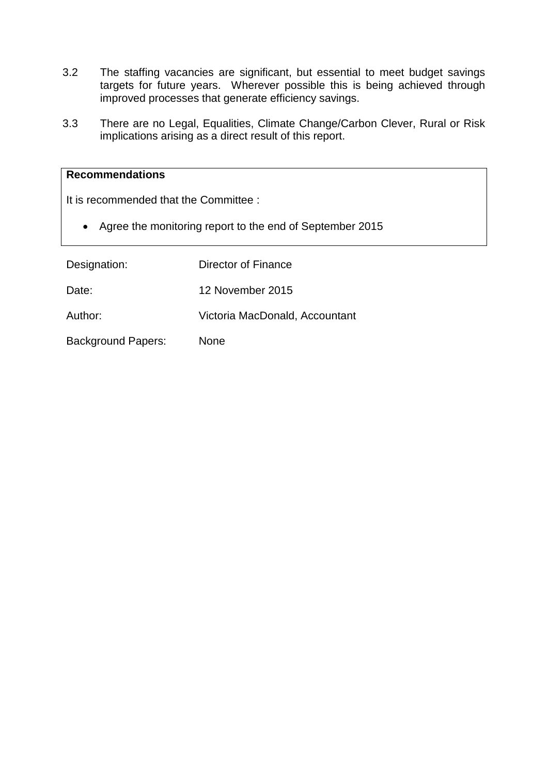- 3.2 The staffing vacancies are significant, but essential to meet budget savings targets for future years. Wherever possible this is being achieved through improved processes that generate efficiency savings.
- 3.3 There are no Legal, Equalities, Climate Change/Carbon Clever, Rural or Risk implications arising as a direct result of this report.

### **Recommendations**

It is recommended that the Committee :

• Agree the monitoring report to the end of September 2015

| Designation:              | Director of Finance            |
|---------------------------|--------------------------------|
| Date:                     | 12 November 2015               |
| Author:                   | Victoria MacDonald, Accountant |
| <b>Background Papers:</b> | <b>None</b>                    |